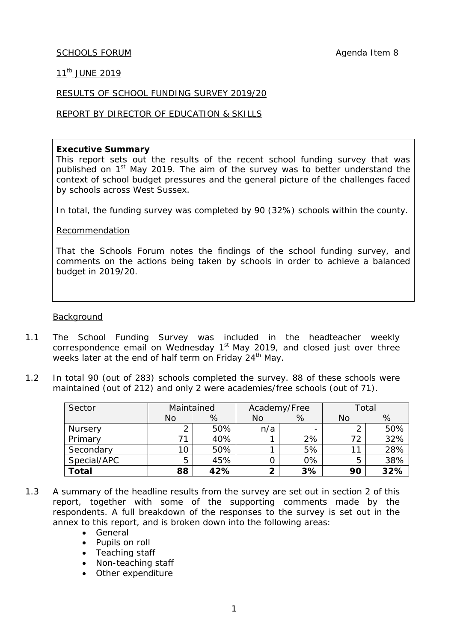#### SCHOOLS FORUM **Agenda** Item 8

# $11^{th}$  JUNE 2019

#### RESULTS OF SCHOOL FUNDING SURVEY 2019/20

#### REPORT BY DIRECTOR OF EDUCATION & SKILLS

#### **Executive Summary**

This report sets out the results of the recent school funding survey that was published on 1<sup>st</sup> May 2019. The aim of the survey was to better understand the context of school budget pressures and the general picture of the challenges faced by schools across West Sussex.

In total, the funding survey was completed by 90 (32%) schools within the county.

Recommendation

That the Schools Forum notes the findings of the school funding survey, and comments on the actions being taken by schools in order to achieve a balanced budget in 2019/20.

#### **Background**

- 1.1 The School Funding Survey was included in the headteacher weekly correspondence email on Wednesday 1<sup>st</sup> May 2019, and closed just over three weeks later at the end of half term on Friday 24<sup>th</sup> May.
- 1.2 In total 90 (out of 283) schools completed the survey. 88 of these schools were maintained (out of 212) and only 2 were academies/free schools (out of 71).

| Sector      | Maintained |     | Academy/Free |                          | Total |     |
|-------------|------------|-----|--------------|--------------------------|-------|-----|
|             | No         | %   | No           | %                        | No    | %   |
| Nursery     | ◠          | 50% | n/a          | $\overline{\phantom{0}}$ |       | 50% |
| Primary     |            | 40% |              | 2%                       | 72    | 32% |
| Secondary   | 10         | 50% |              | 5%                       |       | 28% |
| Special/APC | 5          | 45% |              | 0%                       | 5     | 38% |
| Total       | 88         | 42% | ◠            | 3%                       | 90    | 32% |

- 1.3 A summary of the headline results from the survey are set out in section 2 of this report, together with some of the supporting comments made by the respondents. A full breakdown of the responses to the survey is set out in the annex to this report, and is broken down into the following areas:
	- General
	- Pupils on roll
	- Teaching staff
	- Non-teaching staff
	- Other expenditure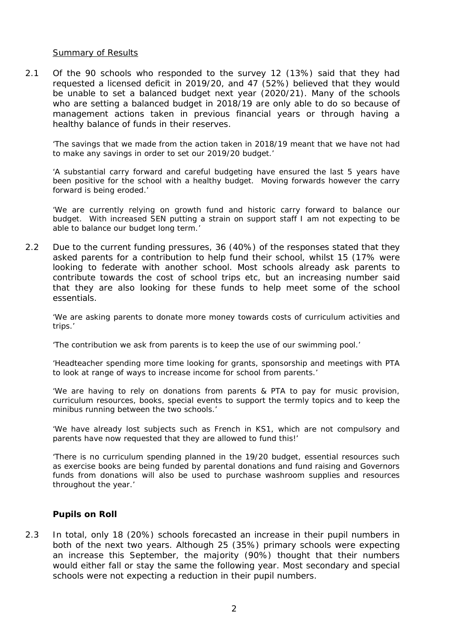#### Summary of Results

2.1 Of the 90 schools who responded to the survey 12 (13%) said that they had requested a licensed deficit in 2019/20, and 47 (52%) believed that they would be unable to set a balanced budget next year (2020/21). Many of the schools who are setting a balanced budget in 2018/19 are only able to do so because of management actions taken in previous financial years or through having a healthy balance of funds in their reserves.

*'The savings that we made from the action taken in 2018/19 meant that we have not had to make any savings in order to set our 2019/20 budget.'*

*'A substantial carry forward and careful budgeting have ensured the last 5 years have been positive for the school with a healthy budget. Moving forwards however the carry forward is being eroded.'*

*'We are currently relying on growth fund and historic carry forward to balance our budget. With increased SEN putting a strain on support staff I am not expecting to be able to balance our budget long term.'*

2.2 Due to the current funding pressures, 36 (40%) of the responses stated that they asked parents for a contribution to help fund their school, whilst 15 (17% were looking to federate with another school. Most schools already ask parents to contribute towards the cost of school trips etc, but an increasing number said that they are also looking for these funds to help meet some of the school essentials.

*'We are asking parents to donate more money towards costs of curriculum activities and trips.'*

*'The contribution we ask from parents is to keep the use of our swimming pool.'*

*'Headteacher spending more time looking for grants, sponsorship and meetings with PTA to look at range of ways to increase income for school from parents.'*

*'We are having to rely on donations from parents & PTA to pay for music provision, curriculum resources, books, special events to support the termly topics and to keep the minibus running between the two schools.'*

*'We have already lost subjects such as French in KS1, which are not compulsory and parents have now requested that they are allowed to fund this!'*

*'There is no curriculum spending planned in the 19/20 budget, essential resources such as exercise books are being funded by parental donations and fund raising and Governors funds from donations will also be used to purchase washroom supplies and resources throughout the year.'*

#### **Pupils on Roll**

2.3 In total, only 18 (20%) schools forecasted an increase in their pupil numbers in both of the next two years. Although 25 (35%) primary schools were expecting an increase this September, the majority (90%) thought that their numbers would either fall or stay the same the following year. Most secondary and special schools were not expecting a reduction in their pupil numbers.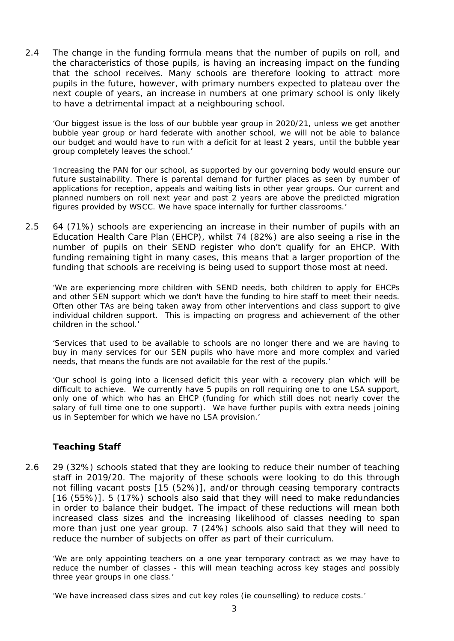2.4 The change in the funding formula means that the number of pupils on roll, and the characteristics of those pupils, is having an increasing impact on the funding that the school receives. Many schools are therefore looking to attract more pupils in the future, however, with primary numbers expected to plateau over the next couple of years, an increase in numbers at one primary school is only likely to have a detrimental impact at a neighbouring school.

*'Our biggest issue is the loss of our bubble year group in 2020/21, unless we get another bubble year group or hard federate with another school, we will not be able to balance our budget and would have to run with a deficit for at least 2 years, until the bubble year group completely leaves the school.'*

*'Increasing the PAN for our school, as supported by our governing body would ensure our*  future sustainability. There is parental demand for further places as seen by number of *applications for reception, appeals and waiting lists in other year groups. Our current and planned numbers on roll next year and past 2 years are above the predicted migration figures provided by WSCC. We have space internally for further classrooms.'*

2.5 64 (71%) schools are experiencing an increase in their number of pupils with an Education Health Care Plan (EHCP), whilst 74 (82%) are also seeing a rise in the number of pupils on their SEND register who don't qualify for an EHCP. With funding remaining tight in many cases, this means that a larger proportion of the funding that schools are receiving is being used to support those most at need.

*'We are experiencing more children with SEND needs, both children to apply for EHCPs and other SEN support which we don't have the funding to hire staff to meet their needs. Often other TAs are being taken away from other interventions and class support to give*  individual children support. This is impacting on progress and achievement of the other *children in the school.'*

*'Services that used to be available to schools are no longer there and we are having to buy in many services for our SEN pupils who have more and more complex and varied needs, that means the funds are not available for the rest of the pupils.'*

*'Our school is going into a licensed deficit this year with a recovery plan which will be difficult to achieve. We currently have 5 pupils on roll requiring one to one LSA support, only one of which who has an EHCP (funding for which still does not nearly cover the salary of full time one to one support). We have further pupils with extra needs joining us in September for which we have no LSA provision.'* 

# **Teaching Staff**

2.6 29 (32%) schools stated that they are looking to reduce their number of teaching staff in 2019/20. The majority of these schools were looking to do this through not filling vacant posts [15 (52%)], and/or through ceasing temporary contracts [16 (55%)]. 5 (17%) schools also said that they will need to make redundancies in order to balance their budget. The impact of these reductions will mean both increased class sizes and the increasing likelihood of classes needing to span more than just one year group. 7 (24%) schools also said that they will need to reduce the number of subjects on offer as part of their curriculum.

'W*e are only appointing teachers on a one year temporary contract as we may have to reduce the number of classes - this will mean teaching across key stages and possibly three year groups in one class.'*

*'We have increased class sizes and cut key roles (ie counselling) to reduce costs.'*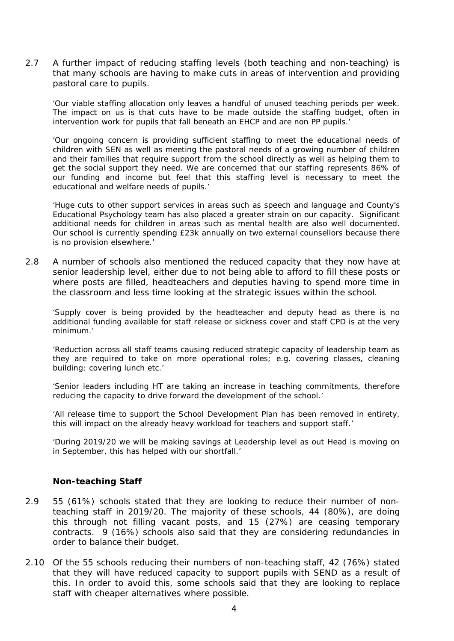2.7 A further impact of reducing staffing levels (both teaching and non-teaching) is that many schools are having to make cuts in areas of intervention and providing pastoral care to pupils.

*'Our viable staffing allocation only leaves a handful of unused teaching periods per week.*  The impact on us is that cuts have to be made outside the staffing budget, often in *intervention work for pupils that fall beneath an EHCP and are non PP pupils.'*

*'Our ongoing concern is providing sufficient staffing to meet the educational needs of children with SEN as well as meeting the pastoral needs of a growing number of children and their families that require support from the school directly as well as helping them to get the social support they need. We are concerned that our staffing represents 86% of our funding and income but feel that this staffing level is necessary to meet the educational and welfare needs of pupils.'*

*'Huge cuts to other support services in areas such as speech and language and County's Educational Psychology team has also placed a greater strain on our capacity. Significant additional needs for children in areas such as mental health are also well documented. Our school is currently spending £23k annually on two external counsellors because there is no provision elsewhere.'*

2.8 A number of schools also mentioned the reduced capacity that they now have at senior leadership level, either due to not being able to afford to fill these posts or where posts are filled, headteachers and deputies having to spend more time in the classroom and less time looking at the strategic issues within the school.

*'Supply cover is being provided by the headteacher and deputy head as there is no additional funding available for staff release or sickness cover and staff CPD is at the very minimum.'*

*'Reduction across all staff teams causing reduced strategic capacity of leadership team as they are required to take on more operational roles; e.g. covering classes, cleaning building; covering lunch etc.'*

*'Senior leaders including HT are taking an increase in teaching commitments, therefore reducing the capacity to drive forward the development of the school.'*

*'All release time to support the School Development Plan has been removed in entirety, this will impact on the already heavy workload for teachers and support staff.'*

*'During 2019/20 we will be making savings at Leadership level as out Head is moving on in September, this has helped with our shortfall.'*

## **Non-teaching Staff**

- 2.9 55 (61%) schools stated that they are looking to reduce their number of nonteaching staff in 2019/20. The majority of these schools, 44 (80%), are doing this through not filling vacant posts, and 15 (27%) are ceasing temporary contracts. 9 (16%) schools also said that they are considering redundancies in order to balance their budget.
- 2.10 Of the 55 schools reducing their numbers of non-teaching staff, 42 (76%) stated that they will have reduced capacity to support pupils with SEND as a result of this. In order to avoid this, some schools said that they are looking to replace staff with cheaper alternatives where possible.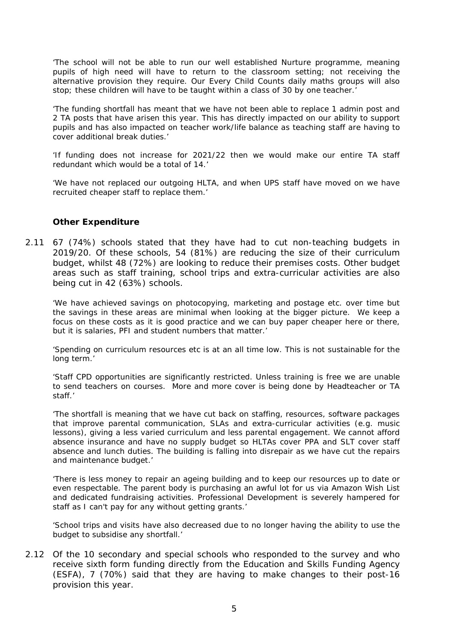*'The school will not be able to run our well established Nurture programme, meaning pupils of high need will have to return to the classroom setting; not receiving the alternative provision they require. Our Every Child Counts daily maths groups will also stop; these children will have to be taught within a class of 30 by one teacher.'*

*'The funding shortfall has meant that we have not been able to replace 1 admin post and 2 TA posts that have arisen this year. This has directly impacted on our ability to support pupils and has also impacted on teacher work/life balance as teaching staff are having to cover additional break duties.'*

*'If funding does not increase for 2021/22 then we would make our entire TA staff redundant which would be a total of 14.'*

*'We have not replaced our outgoing HLTA, and when UPS staff have moved on we have recruited cheaper staff to replace them.'*

## **Other Expenditure**

2.11 67 (74%) schools stated that they have had to cut non-teaching budgets in 2019/20. Of these schools, 54 (81%) are reducing the size of their curriculum budget, whilst 48 (72%) are looking to reduce their premises costs. Other budget areas such as staff training, school trips and extra-curricular activities are also being cut in 42 (63%) schools.

*'We have achieved savings on photocopying, marketing and postage etc. over time but the savings in these areas are minimal when looking at the bigger picture. We keep a focus on these costs as it is good practice and we can buy paper cheaper here or there, but it is salaries, PFI and student numbers that matter.'*

*'Spending on curriculum resources etc is at an all time low. This is not sustainable for the long term.'*

*'Staff CPD opportunities are significantly restricted. Unless training is free we are unable to send teachers on courses. More and more cover is being done by Headteacher or TA staff.'*

*'The shortfall is meaning that we have cut back on staffing, resources, software packages that improve parental communication, SLAs and extra-curricular activities (e.g. music lessons*), giving a less varied curriculum and less parental engagement. We cannot afford *absence insurance and have no supply budget so HLTAs cover PPA and SLT cover staff absence and lunch duties. The building is falling into disrepair as we have cut the repairs and maintenance budget.'*

*'There is less money to repair an ageing building and to keep our resources up to date or even respectable. The parent body is purchasing an awful lot for us via Amazon Wish List and dedicated fundraising activities. Professional Development is severely hampered for staff as I can't pay for any without getting grants.'*

*'School trips and visits have also decreased due to no longer having the ability to use the budget to subsidise any shortfall.'*

2.12 Of the 10 secondary and special schools who responded to the survey and who receive sixth form funding directly from the Education and Skills Funding Agency (ESFA), 7 (70%) said that they are having to make changes to their post-16 provision this year.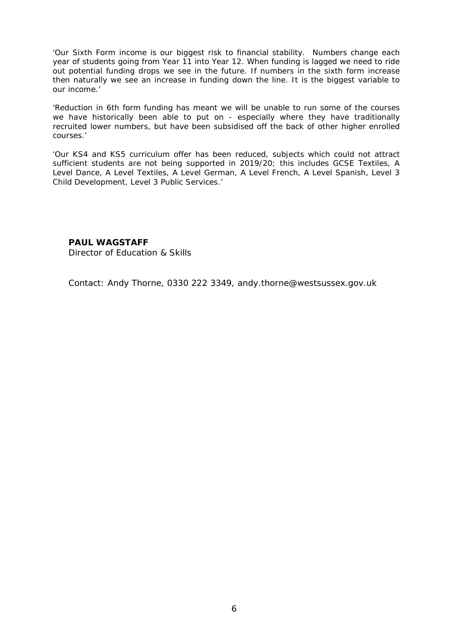*'Our Sixth Form income is our biggest risk to financial stability. Numbers change each year of students going from Year 11 into Year 12. When funding is lagged we need to ride out potential funding drops we see in the future. If numbers in the sixth form increase then naturally we see an increase in funding down the line. It is the biggest variable to our income.'*

*'Reduction in 6th form funding has meant we will be unable to run some of the courses we have historically been able to put on - especially where they have traditionally recruited lower numbers, but have been subsidised off the back of other higher enrolled courses.'*

*'Our KS4 and KS5 curriculum offer has been reduced, subjects which could not attract sufficient students are not being supported in 2019/20; this includes GCSE Textiles, A Level Dance, A Level Textiles, A Level German, A Level French, A Level Spanish, Level 3 Child Development, Level 3 Public Services.'*

#### **PAUL WAGSTAFF**

Director of Education & Skills

Contact: Andy Thorne, 0330 222 3349, andy.thorne@westsussex.gov.uk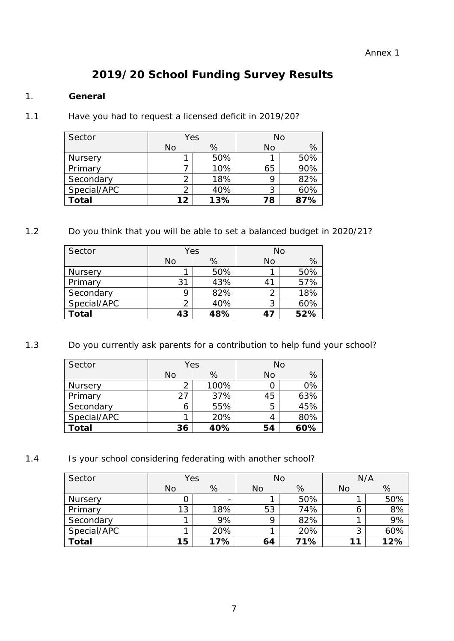# **2019/20 School Funding Survey Results**

# 1. **General**

1.1 Have you had to request a licensed deficit in 2019/20?

| Sector         | Yes |     | <b>No</b> |     |
|----------------|-----|-----|-----------|-----|
|                | No  | %   | No        | %   |
| <b>Nursery</b> |     | 50% |           | 50% |
| Primary        |     | 10% | 65        | 90% |
| Secondary      |     | 18% | Q         | 82% |
| Special/APC    |     | 40% | 3         | 60% |
| <b>Total</b>   | 12  | 13% | 78        | 87% |

1.2 Do you think that you will be able to set a balanced budget in 2020/21?

| Sector       | Yes |     | No |     |  |
|--------------|-----|-----|----|-----|--|
|              | No  | %   | No | %   |  |
| Nursery      |     | 50% |    | 50% |  |
| Primary      | 31  | 43% | 41 | 57% |  |
| Secondary    | a   | 82% | 2  | 18% |  |
| Special/APC  |     | 40% | 3  | 60% |  |
| <b>Total</b> | 43  | 48% | 47 | 52% |  |

1.3 Do you currently ask parents for a contribution to help fund your school?

| Sector         | Yes |      | <b>No</b> |     |  |
|----------------|-----|------|-----------|-----|--|
|                | No  | %    | No        | %   |  |
| <b>Nursery</b> |     | 100% |           | 0%  |  |
| Primary        | 27  | 37%  | 45        | 63% |  |
| Secondary      | h   | 55%  | 5         | 45% |  |
| Special/APC    |     | 20%  | 4         | 80% |  |
| Total          | 36  | 40%  | 54        | 60% |  |

1.4 Is your school considering federating with another school?

| Sector       | Yes       |     | No |     | N/A |     |
|--------------|-----------|-----|----|-----|-----|-----|
|              | <b>No</b> | %   | No | %   | No  | %   |
| Nursery      |           | -   |    | 50% |     | 50% |
| Primary      | 13        | 18% | 53 | 74% | 6   | 8%  |
| Secondary    |           | 9%  | Q  | 82% |     | 9%  |
| Special/APC  |           | 20% |    | 20% | 3   | 60% |
| <b>Total</b> | 15        | 17% | 64 | 71% | 11  | 12% |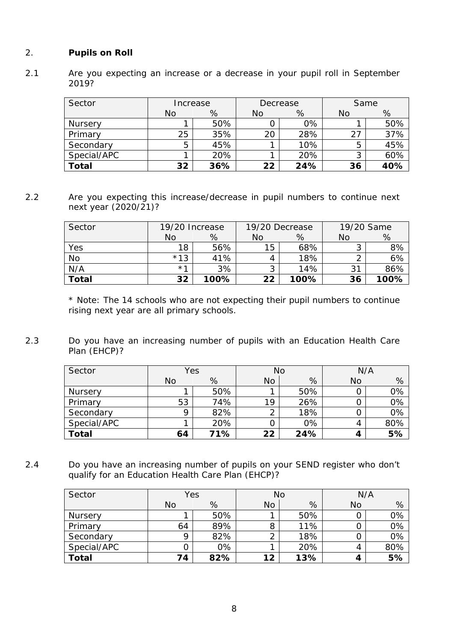# 2. **Pupils on Roll**

2.1 Are you expecting an increase or a decrease in your pupil roll in September 2019?

| Sector      | Increase  |     | Decrease |     | Same |     |
|-------------|-----------|-----|----------|-----|------|-----|
|             | <b>No</b> | %   | No       | %   | No   | %   |
| Nursery     |           | 50% |          | 0%  |      | 50% |
| Primary     | 25        | 35% | 20       | 28% | 27   | 37% |
| Secondary   | 5         | 45% |          | 10% | 5    | 45% |
| Special/APC |           | 20% |          | 20% | 3    | 60% |
| Total       | 32        | 36% | 22       | 24% | 36   | 40% |

2.2 Are you expecting this increase/decrease in pupil numbers to continue next next year (2020/21)?

| Sector       | 19/20 Increase |      | 19/20 Decrease |      | 19/20 Same |      |
|--------------|----------------|------|----------------|------|------------|------|
|              | No             | %    | No             | %    | No         | %    |
| Yes          | 18             | 56%  | 15             | 68%  | J          | 8%   |
| <b>No</b>    | $*13$          | 41%  |                | 18%  | ⌒          | 6%   |
| N/A          | $*1$           | 3%   |                | 14%  | 31         | 86%  |
| <b>Total</b> | 32             | 100% | 22             | 100% | 36         | 100% |

\* Note: The 14 schools who are not expecting their pupil numbers to continue rising next year are all primary schools.

2.3 Do you have an increasing number of pupils with an Education Health Care Plan (EHCP)?

| Sector         | Yes |     | <b>No</b> |     | N/A       |     |
|----------------|-----|-----|-----------|-----|-----------|-----|
|                | No  | %   | <b>No</b> | %   | <b>No</b> | %   |
| <b>Nursery</b> |     | 50% |           | 50% |           | 0%  |
| Primary        | 53  | 74% | 19        | 26% |           | 0%  |
| Secondary      | Q   | 82% | ⌒         | 18% |           | 0%  |
| Special/APC    |     | 20% |           | 0%  | 4         | 80% |
| <b>Total</b>   | 64  | 71% | 22        | 24% | 4         | 5%  |

2.4 Do you have an increasing number of pupils on your SEND register who don't qualify for an Education Health Care Plan (EHCP)?

| Sector       | Yes       |     | No |     | N/A |     |
|--------------|-----------|-----|----|-----|-----|-----|
|              | <b>No</b> | %   | No | %   | No  | %   |
| Nursery      |           | 50% |    | 50% |     | 0%  |
| Primary      | 64        | 89% | 8  | 11% |     | 0%  |
| Secondary    | Q         | 82% |    | 18% |     | 0%  |
| Special/APC  |           | 0%  |    | 20% | 4   | 80% |
| <b>Total</b> | 74        | 82% | 12 | 13% | 4   | 5%  |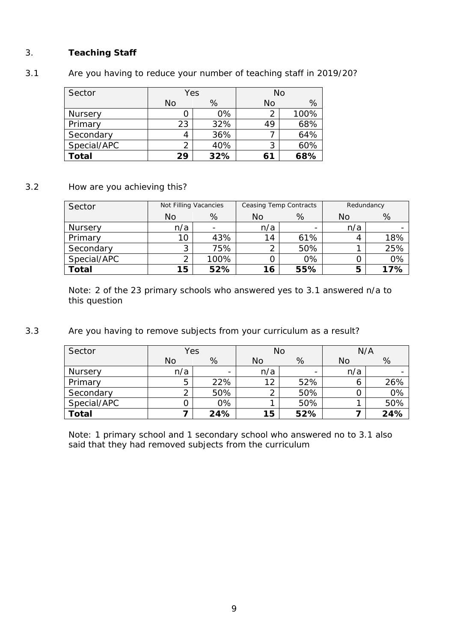# 3. **Teaching Staff**

# 3.1 Are you having to reduce your number of teaching staff in 2019/20?

| Sector         | Yes |     | No |      |  |
|----------------|-----|-----|----|------|--|
|                | No  | %   | No | %    |  |
| <b>Nursery</b> |     | 0%  | 2  | 100% |  |
| Primary        | 23  | 32% | 49 | 68%  |  |
| Secondary      |     | 36% |    | 64%  |  |
| Special/APC    | ⌒   | 40% | 3  | 60%  |  |
| <b>Total</b>   | 29  | 32% | 61 | 68%  |  |

## 3.2 How are you achieving this?

| Sector         | Not Filling Vacancies |      | Ceasing Temp Contracts |     | Redundancy |     |
|----------------|-----------------------|------|------------------------|-----|------------|-----|
|                | No                    | %    | No                     | %   | No         | %   |
| <b>Nursery</b> | n/a                   |      | n/a                    | -   | n/a        |     |
| Primary        | 10                    | 43%  | 14                     | 61% |            | 18% |
| Secondary      | 3                     | 75%  |                        | 50% |            | 25% |
| Special/APC    | ⌒                     | 100% |                        | 0%  |            | 0%  |
| <b>Total</b>   | 15                    | 52%  | 16                     | 55% | 5          | 17% |

Note: 2 of the 23 primary schools who answered yes to 3.1 answered n/a to this question

3.3 Are you having to remove subjects from your curriculum as a result?

| Sector       | Yes       |     | <b>No</b> |                          | N/A       |     |
|--------------|-----------|-----|-----------|--------------------------|-----------|-----|
|              | <b>No</b> | %   | No        | %                        | <b>No</b> | %   |
| Nursery      | n/a       | -   | n/a       | $\overline{\phantom{0}}$ | n/a       |     |
| Primary      | 5         | 22% | 12        | 52%                      | 6         | 26% |
| Secondary    | 2         | 50% |           | 50%                      |           | 0%  |
| Special/APC  | ი         | 0%  |           | 50%                      |           | 50% |
| <b>Total</b> |           | 24% | 15        | 52%                      |           | 24% |

Note: 1 primary school and 1 secondary school who answered no to 3.1 also said that they had removed subjects from the curriculum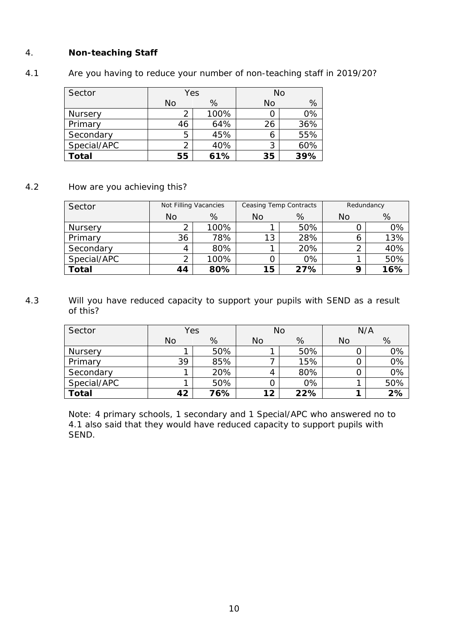# 4. **Non-teaching Staff**

4.1 Are you having to reduce your number of non-teaching staff in 2019/20?

| Sector       | Yes |      | No |     |  |
|--------------|-----|------|----|-----|--|
|              | No  | %    | No | %   |  |
| Nursery      |     | 100% |    | 0%  |  |
| Primary      | 46  | 64%  | 26 | 36% |  |
| Secondary    | 5   | 45%  | 6  | 55% |  |
| Special/APC  |     | 40%  | 3  | 60% |  |
| <b>Total</b> | 55  | 61%  | 35 | 39% |  |

## 4.2 How are you achieving this?

| Sector       | Not Filling Vacancies |      | Ceasing Temp Contracts |     | Redundancy |     |
|--------------|-----------------------|------|------------------------|-----|------------|-----|
|              | No                    | %    | No                     | %   | No         | %   |
| Nursery      |                       | 100% |                        | 50% |            | 0%  |
| Primary      | 36                    | 78%  | 13                     | 28% |            | 13% |
| Secondary    | 4                     | 80%  |                        | 20% | ∍          | 40% |
| Special/APC  | ∍                     | 100% |                        | 0%  |            | 50% |
| <b>Total</b> | 44                    | 80%  | 15                     | 27% | Q          | 16% |

# 4.3 Will you have reduced capacity to support your pupils with SEND as a result of this?

| Sector       | Yes       |     | No |     | N/A       |     |
|--------------|-----------|-----|----|-----|-----------|-----|
|              | <b>No</b> | %   | No | %   | <b>No</b> | %   |
| Nursery      |           | 50% |    | 50% |           | 0%  |
| Primary      | 39        | 85% |    | 15% |           | 0%  |
| Secondary    |           | 20% |    | 80% |           | 0%  |
| Special/APC  |           | 50% |    | 0%  |           | 50% |
| <b>Total</b> | 42        | 76% | 12 | 22% |           | 2%  |

Note: 4 primary schools, 1 secondary and 1 Special/APC who answered no to 4.1 also said that they would have reduced capacity to support pupils with SEND.